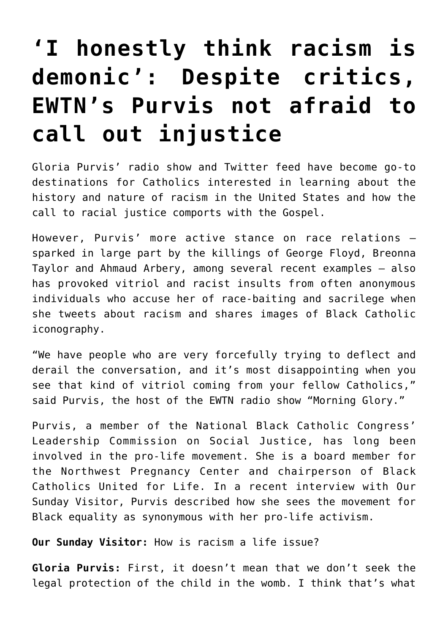## **['I honestly think racism is](https://www.osvnews.com/2020/06/25/i-honestly-think-racism-is-demonic-despite-critics-ewtns-purvis-not-afraid-to-call-out-injustice/) [demonic': Despite critics,](https://www.osvnews.com/2020/06/25/i-honestly-think-racism-is-demonic-despite-critics-ewtns-purvis-not-afraid-to-call-out-injustice/) [EWTN's Purvis not afraid to](https://www.osvnews.com/2020/06/25/i-honestly-think-racism-is-demonic-despite-critics-ewtns-purvis-not-afraid-to-call-out-injustice/) [call out injustice](https://www.osvnews.com/2020/06/25/i-honestly-think-racism-is-demonic-despite-critics-ewtns-purvis-not-afraid-to-call-out-injustice/)**

Gloria Purvis' radio show and Twitter feed have become go-to destinations for Catholics interested in learning about the history and nature of racism in the United States and how the call to racial justice comports with the Gospel.

However, Purvis' more active stance on race relations sparked in large part by the killings of George Floyd, Breonna Taylor and Ahmaud Arbery, among several recent examples — also has provoked vitriol and racist insults from often anonymous individuals who accuse her of race-baiting and sacrilege when she tweets about racism and shares images of Black Catholic iconography.

"We have people who are very forcefully trying to deflect and derail the conversation, and it's most disappointing when you see that kind of vitriol coming from your fellow Catholics," said Purvis, the host of the EWTN radio show "Morning Glory."

Purvis, a member of the National Black Catholic Congress' Leadership Commission on Social Justice, has long been involved in the pro-life movement. She is a board member for the Northwest Pregnancy Center and chairperson of Black Catholics United for Life. In a recent interview with Our Sunday Visitor, Purvis described how she sees the movement for Black equality as synonymous with her pro-life activism.

**Our Sunday Visitor:** How is racism a life issue?

**Gloria Purvis:** First, it doesn't mean that we don't seek the legal protection of the child in the womb. I think that's what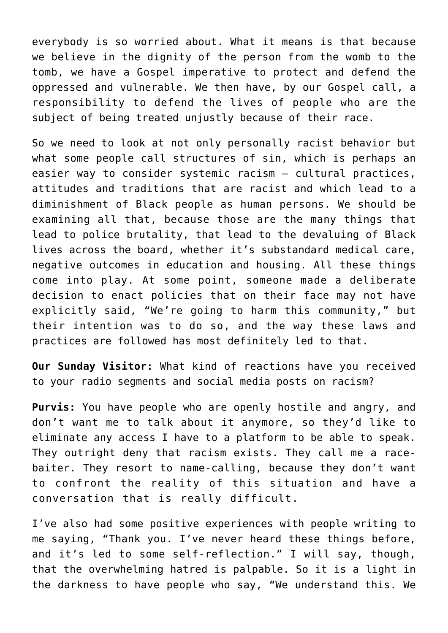everybody is so worried about. What it means is that because we believe in the dignity of the person from the womb to the tomb, we have a Gospel imperative to protect and defend the oppressed and vulnerable. We then have, by our Gospel call, a responsibility to defend the lives of people who are the subject of being treated unjustly because of their race.

So we need to look at not only personally racist behavior but what some people call structures of sin, which is perhaps an easier way to consider systemic racism — cultural practices, attitudes and traditions that are racist and which lead to a diminishment of Black people as human persons. We should be examining all that, because those are the many things that lead to police brutality, that lead to the devaluing of Black lives across the board, whether it's substandard medical care, negative outcomes in education and housing. All these things come into play. At some point, someone made a deliberate decision to enact policies that on their face may not have explicitly said, "We're going to harm this community," but their intention was to do so, and the way these laws and practices are followed has most definitely led to that.

**Our Sunday Visitor:** What kind of reactions have you received to your radio segments and social media posts on racism?

**Purvis:** You have people who are openly hostile and angry, and don't want me to talk about it anymore, so they'd like to eliminate any access I have to a platform to be able to speak. They outright deny that racism exists. They call me a racebaiter. They resort to name-calling, because they don't want to confront the reality of this situation and have a conversation that is really difficult.

I've also had some positive experiences with people writing to me saying, "Thank you. I've never heard these things before, and it's led to some self-reflection." I will say, though, that the overwhelming hatred is palpable. So it is a light in the darkness to have people who say, "We understand this. We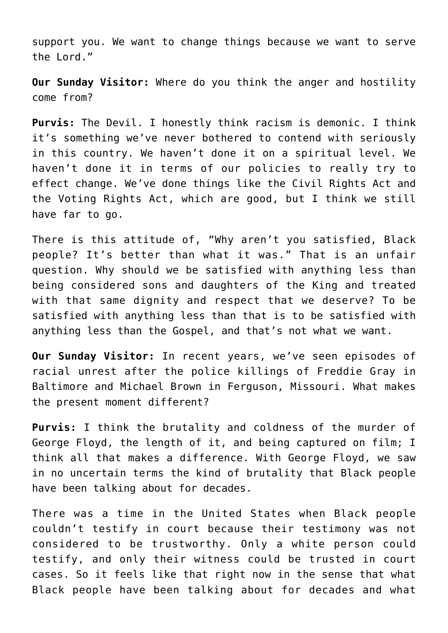support you. We want to change things because we want to serve the Lord."

**Our Sunday Visitor:** Where do you think the anger and hostility come from?

**Purvis:** The Devil. I honestly think racism is demonic. I think it's something we've never bothered to contend with seriously in this country. We haven't done it on a spiritual level. We haven't done it in terms of our policies to really try to effect change. We've done things like the Civil Rights Act and the Voting Rights Act, which are good, but I think we still have far to go.

There is this attitude of, "Why aren't you satisfied, Black people? It's better than what it was." That is an unfair question. Why should we be satisfied with anything less than being considered sons and daughters of the King and treated with that same dignity and respect that we deserve? To be satisfied with anything less than that is to be satisfied with anything less than the Gospel, and that's not what we want.

**Our Sunday Visitor:** In recent years, we've seen episodes of racial unrest after the police killings of Freddie Gray in Baltimore and Michael Brown in Ferguson, Missouri. What makes the present moment different?

**Purvis:** I think the brutality and coldness of the murder of George Floyd, the length of it, and being captured on film; I think all that makes a difference. With George Floyd, we saw in no uncertain terms the kind of brutality that Black people have been talking about for decades.

There was a time in the United States when Black people couldn't testify in court because their testimony was not considered to be trustworthy. Only a white person could testify, and only their witness could be trusted in court cases. So it feels like that right now in the sense that what Black people have been talking about for decades and what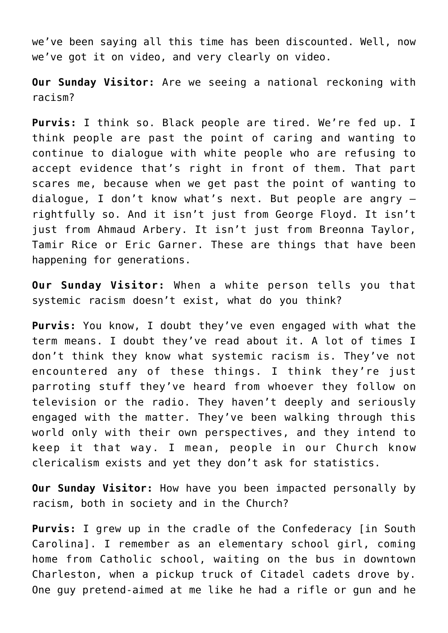we've been saying all this time has been discounted. Well, now we've got it on video, and very clearly on video.

**Our Sunday Visitor:** Are we seeing a national reckoning with racism?

**Purvis:** I think so. Black people are tired. We're fed up. I think people are past the point of caring and wanting to continue to dialogue with white people who are refusing to accept evidence that's right in front of them. That part scares me, because when we get past the point of wanting to dialogue, I don't know what's next. But people are angry rightfully so. And it isn't just from George Floyd. It isn't just from Ahmaud Arbery. It isn't just from Breonna Taylor, Tamir Rice or Eric Garner. These are things that have been happening for generations.

**Our Sunday Visitor:** When a white person tells you that systemic racism doesn't exist, what do you think?

**Purvis:** You know, I doubt they've even engaged with what the term means. I doubt they've read about it. A lot of times I don't think they know what systemic racism is. They've not encountered any of these things. I think they're just parroting stuff they've heard from whoever they follow on television or the radio. They haven't deeply and seriously engaged with the matter. They've been walking through this world only with their own perspectives, and they intend to keep it that way. I mean, people in our Church know clericalism exists and yet they don't ask for statistics.

**Our Sunday Visitor:** How have you been impacted personally by racism, both in society and in the Church?

**Purvis:** I grew up in the cradle of the Confederacy [in South Carolina]. I remember as an elementary school girl, coming home from Catholic school, waiting on the bus in downtown Charleston, when a pickup truck of Citadel cadets drove by. One guy pretend-aimed at me like he had a rifle or gun and he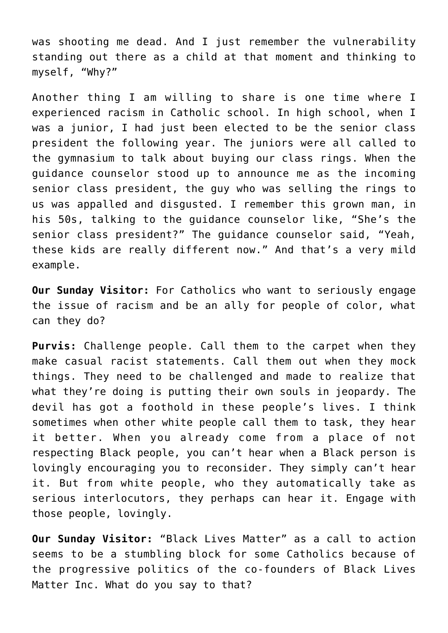was shooting me dead. And I just remember the vulnerability standing out there as a child at that moment and thinking to myself, "Why?"

Another thing I am willing to share is one time where I experienced racism in Catholic school. In high school, when I was a junior, I had just been elected to be the senior class president the following year. The juniors were all called to the gymnasium to talk about buying our class rings. When the guidance counselor stood up to announce me as the incoming senior class president, the guy who was selling the rings to us was appalled and disgusted. I remember this grown man, in his 50s, talking to the guidance counselor like, "She's the senior class president?" The guidance counselor said, "Yeah, these kids are really different now." And that's a very mild example.

**Our Sunday Visitor:** For Catholics who want to seriously engage the issue of racism and be an ally for people of color, what can they do?

**Purvis:** Challenge people. Call them to the carpet when they make casual racist statements. Call them out when they mock things. They need to be challenged and made to realize that what they're doing is putting their own souls in jeopardy. The devil has got a foothold in these people's lives. I think sometimes when other white people call them to task, they hear it better. When you already come from a place of not respecting Black people, you can't hear when a Black person is lovingly encouraging you to reconsider. They simply can't hear it. But from white people, who they automatically take as serious interlocutors, they perhaps can hear it. Engage with those people, lovingly.

**Our Sunday Visitor:** "Black Lives Matter" as a call to action seems to be a stumbling block for some Catholics because of the progressive politics of the co-founders of Black Lives Matter Inc. What do you say to that?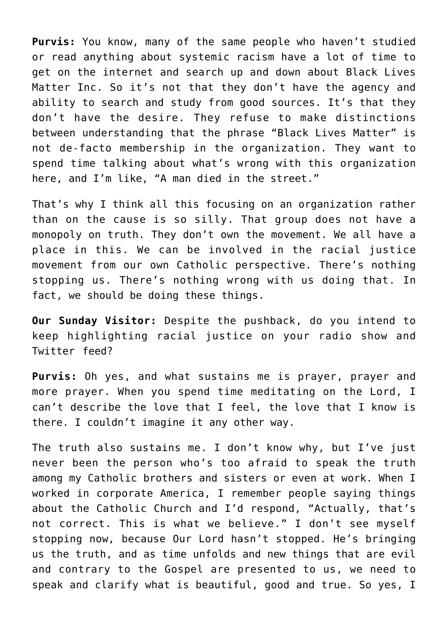**Purvis:** You know, many of the same people who haven't studied or read anything about systemic racism have a lot of time to get on the internet and search up and down about Black Lives Matter Inc. So it's not that they don't have the agency and ability to search and study from good sources. It's that they don't have the desire. They refuse to make distinctions between understanding that the phrase "Black Lives Matter" is not de-facto membership in the organization. They want to spend time talking about what's wrong with this organization here, and I'm like, "A man died in the street."

That's why I think all this focusing on an organization rather than on the cause is so silly. That group does not have a monopoly on truth. They don't own the movement. We all have a place in this. We can be involved in the racial justice movement from our own Catholic perspective. There's nothing stopping us. There's nothing wrong with us doing that. In fact, we should be doing these things.

**Our Sunday Visitor:** Despite the pushback, do you intend to keep highlighting racial justice on your radio show and Twitter feed?

**Purvis:** Oh yes, and what sustains me is prayer, prayer and more prayer. When you spend time meditating on the Lord, I can't describe the love that I feel, the love that I know is there. I couldn't imagine it any other way.

The truth also sustains me. I don't know why, but I've just never been the person who's too afraid to speak the truth among my Catholic brothers and sisters or even at work. When I worked in corporate America, I remember people saying things about the Catholic Church and I'd respond, "Actually, that's not correct. This is what we believe." I don't see myself stopping now, because Our Lord hasn't stopped. He's bringing us the truth, and as time unfolds and new things that are evil and contrary to the Gospel are presented to us, we need to speak and clarify what is beautiful, good and true. So yes, I